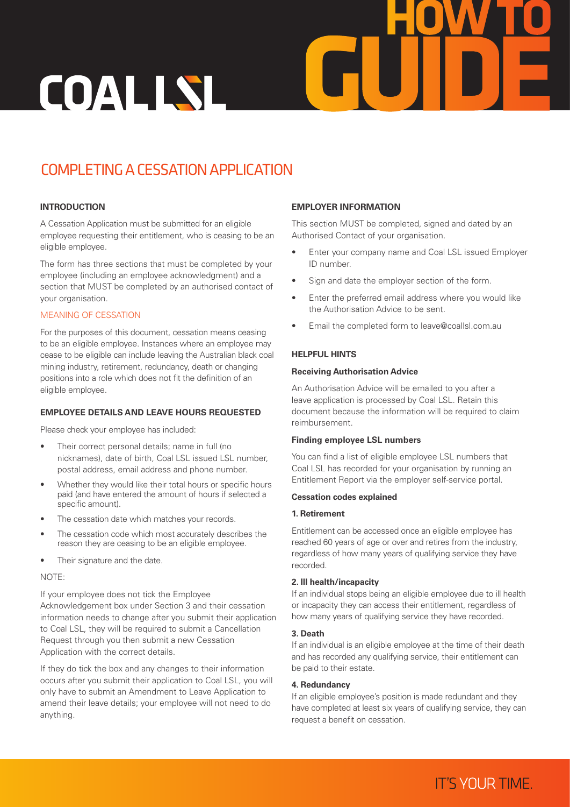

# COMPLETING A CESSATION APPLICATION

# **INTRODUCTION**

A Cessation Application must be submitted for an eligible employee requesting their entitlement, who is ceasing to be an eligible employee.

The form has three sections that must be completed by your employee (including an employee acknowledgment) and a section that MUST be completed by an authorised contact of your organisation.

# MEANING OF CESSATION

For the purposes of this document, cessation means ceasing to be an eligible employee. Instances where an employee may cease to be eligible can include leaving the Australian black coal mining industry, retirement, redundancy, death or changing positions into a role which does not fit the definition of an eligible employee.

# **EMPLOYEE DETAILS AND LEAVE HOURS REQUESTED**

Please check your employee has included:

- Their correct personal details; name in full (no nicknames), date of birth, Coal LSL issued LSL number, postal address, email address and phone number.
- Whether they would like their total hours or specific hours paid (and have entered the amount of hours if selected a specific amount).
- The cessation date which matches your records.
- The cessation code which most accurately describes the reason they are ceasing to be an eligible employee.
- Their signature and the date.

#### NOTE:

If your employee does not tick the Employee Acknowledgement box under Section 3 and their cessation information needs to change after you submit their application to Coal LSL, they will be required to submit a Cancellation Request through you then submit a new Cessation Application with the correct details.

If they do tick the box and any changes to their information occurs after you submit their application to Coal LSL, you will only have to submit an Amendment to Leave Application to amend their leave details; your employee will not need to do anything.

# **EMPLOYER INFORMATION**

This section MUST be completed, signed and dated by an Authorised Contact of your organisation.

- Enter your company name and Coal LSL issued Employer ID number.
- Sign and date the employer section of the form.
- Enter the preferred email address where you would like the Authorisation Advice to be sent.
- Email the completed form to leave@coallsl.com.au

# **HELPFUL HINTS**

#### **Receiving Authorisation Advice**

An Authorisation Advice will be emailed to you after a leave application is processed by Coal LSL. Retain this document because the information will be required to claim reimbursement.

# **Finding employee LSL numbers**

You can find a list of eligible employee LSL numbers that Coal LSL has recorded for your organisation by running an Entitlement Report via the employer self-service portal.

#### **Cessation codes explained**

#### **1. Retirement**

Entitlement can be accessed once an eligible employee has reached 60 years of age or over and retires from the industry, regardless of how many years of qualifying service they have recorded.

#### **2. Ill health/incapacity**

If an individual stops being an eligible employee due to ill health or incapacity they can access their entitlement, regardless of how many years of qualifying service they have recorded.

#### **3. Death**

If an individual is an eligible employee at the time of their death and has recorded any qualifying service, their entitlement can be paid to their estate.

#### **4. Redundancy**

If an eligible employee's position is made redundant and they have completed at least six years of qualifying service, they can request a benefit on cessation.